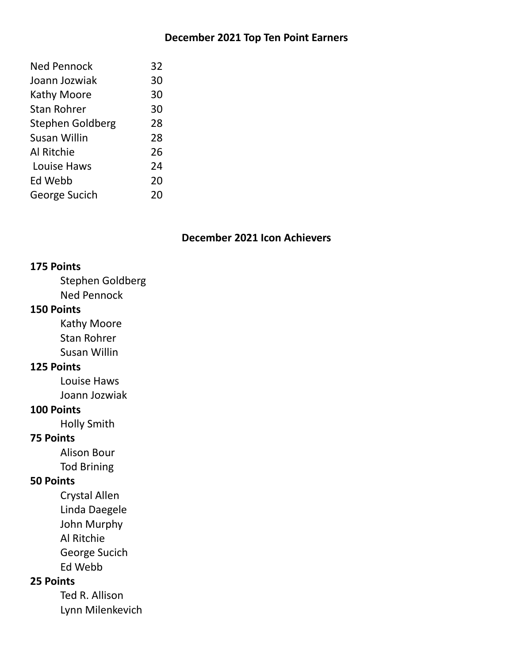# **December 2021 Top Ten Point Earners**

| <b>Ned Pennock</b> | 32 |
|--------------------|----|
| Joann Jozwiak      | 30 |
| <b>Kathy Moore</b> | 30 |
| <b>Stan Rohrer</b> | 30 |
| Stephen Goldberg   | 28 |
| Susan Willin       | 28 |
| Al Ritchie         | 26 |
| Louise Haws        | 24 |
| Ed Webb            | 20 |
| George Sucich      | 20 |
|                    |    |

# **December 2021 Icon Achievers**

### **175 Points**

Stephen Goldberg Ned Pennock

# **150 Points**

Kathy Moore Stan Rohrer Susan Willin

# **125 Points**

Louise Haws Joann Jozwiak

## **100 Points**

Holly Smith

# **75 Points**

Alison Bour Tod Brining

# **50 Points**

Crystal Allen

Linda Daegele John Murphy

Al Ritchie

George Sucich

Ed Webb

# **25 Points**

Ted R. Allison Lynn Milenkevich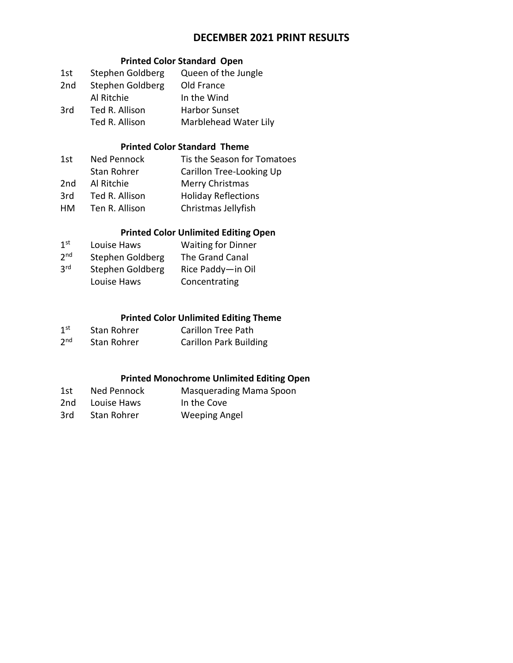# **DECEMBER 2021 PRINT RESULTS**

### **Printed Color Standard Open**

| 1st | Stephen Goldberg | Queen of the Jungle   |
|-----|------------------|-----------------------|
| 2nd | Stephen Goldberg | Old France            |
|     | Al Ritchie       | In the Wind           |
| 3rd | Ted R. Allison   | <b>Harbor Sunset</b>  |
|     | Ted R. Allison   | Marblehead Water Lily |

#### **Printed Color Standard Theme**

| 1st | Ned Pennock    | Tis the Season for Tomatoes |
|-----|----------------|-----------------------------|
|     | Stan Rohrer    | Carillon Tree-Looking Up    |
| 2nd | Al Ritchie     | Merry Christmas             |
| 3rd | Ted R. Allison | <b>Holiday Reflections</b>  |
| HM. | Ten R. Allison | Christmas Jellyfish         |
|     |                |                             |

## **Printed Color Unlimited Editing Open**

| 1 <sup>st</sup> | Louise Haws      | <b>Waiting for Dinner</b> |
|-----------------|------------------|---------------------------|
| 2 <sub>nd</sub> | Stephen Goldberg | The Grand Canal           |
| 3 <sup>rd</sup> | Stephen Goldberg | Rice Paddy-in Oil         |
|                 | Louise Haws      | Concentrating             |

#### **Printed Color Unlimited Editing Theme**

| 1 <sup>st</sup> | Stan Rohrer | Carillon Tree Path            |
|-----------------|-------------|-------------------------------|
| 2 <sup>nd</sup> | Stan Rohrer | <b>Carillon Park Building</b> |

# **Printed Monochrome Unlimited Editing Open**

| 1st | Ned Pennock | Masquerading Mama Spoon |
|-----|-------------|-------------------------|
| 2nd | Louise Haws | In the Cove             |
| 3rd | Stan Rohrer | <b>Weeping Angel</b>    |